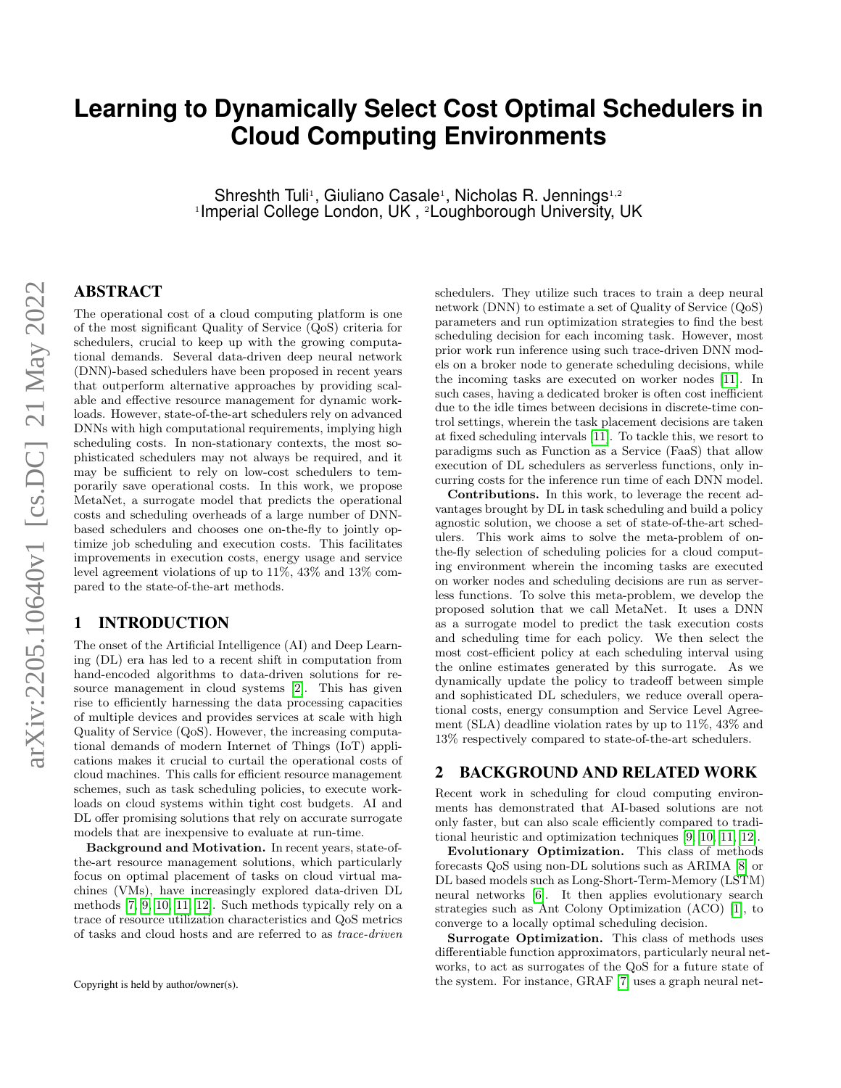# **Learning to Dynamically Select Cost Optimal Schedulers in Cloud Computing Environments**

Shreshth Tuli<sup>1</sup>, Giuliano Casale<sup>1</sup>, Nicholas R. Jennings<sup>1,2</sup> <sup>1</sup>Imperial College London, UK , <sup>2</sup>Loughborough University, UK

## ABSTRACT

The operational cost of a cloud computing platform is one of the most significant Quality of Service (QoS) criteria for schedulers, crucial to keep up with the growing computational demands. Several data-driven deep neural network (DNN)-based schedulers have been proposed in recent years that outperform alternative approaches by providing scalable and effective resource management for dynamic workloads. However, state-of-the-art schedulers rely on advanced DNNs with high computational requirements, implying high scheduling costs. In non-stationary contexts, the most sophisticated schedulers may not always be required, and it may be sufficient to rely on low-cost schedulers to temporarily save operational costs. In this work, we propose MetaNet, a surrogate model that predicts the operational costs and scheduling overheads of a large number of DNNbased schedulers and chooses one on-the-fly to jointly optimize job scheduling and execution costs. This facilitates improvements in execution costs, energy usage and service level agreement violations of up to 11%, 43% and 13% compared to the state-of-the-art methods.

# 1 INTRODUCTION

The onset of the Artificial Intelligence (AI) and Deep Learning (DL) era has led to a recent shift in computation from hand-encoded algorithms to data-driven solutions for resource management in cloud systems [\[2\]](#page-2-0). This has given rise to efficiently harnessing the data processing capacities of multiple devices and provides services at scale with high Quality of Service (QoS). However, the increasing computational demands of modern Internet of Things (IoT) applications makes it crucial to curtail the operational costs of cloud machines. This calls for efficient resource management schemes, such as task scheduling policies, to execute workloads on cloud systems within tight cost budgets. AI and DL offer promising solutions that rely on accurate surrogate models that are inexpensive to evaluate at run-time.

Background and Motivation. In recent years, state-ofthe-art resource management solutions, which particularly focus on optimal placement of tasks on cloud virtual machines (VMs), have increasingly explored data-driven DL methods [\[7,](#page-2-1) [9,](#page-2-2) [10,](#page-2-3) [11,](#page-2-4) [12\]](#page-2-5). Such methods typically rely on a trace of resource utilization characteristics and QoS metrics of tasks and cloud hosts and are referred to as trace-driven schedulers. They utilize such traces to train a deep neural network (DNN) to estimate a set of Quality of Service (QoS) parameters and run optimization strategies to find the best scheduling decision for each incoming task. However, most prior work run inference using such trace-driven DNN models on a broker node to generate scheduling decisions, while the incoming tasks are executed on worker nodes [\[11\]](#page-2-4). In such cases, having a dedicated broker is often cost inefficient due to the idle times between decisions in discrete-time control settings, wherein the task placement decisions are taken at fixed scheduling intervals [\[11\]](#page-2-4). To tackle this, we resort to paradigms such as Function as a Service (FaaS) that allow execution of DL schedulers as serverless functions, only incurring costs for the inference run time of each DNN model.

Contributions. In this work, to leverage the recent advantages brought by DL in task scheduling and build a policy agnostic solution, we choose a set of state-of-the-art schedulers. This work aims to solve the meta-problem of onthe-fly selection of scheduling policies for a cloud computing environment wherein the incoming tasks are executed on worker nodes and scheduling decisions are run as serverless functions. To solve this meta-problem, we develop the proposed solution that we call MetaNet. It uses a DNN as a surrogate model to predict the task execution costs and scheduling time for each policy. We then select the most cost-efficient policy at each scheduling interval using the online estimates generated by this surrogate. As we dynamically update the policy to tradeoff between simple and sophisticated DL schedulers, we reduce overall operational costs, energy consumption and Service Level Agreement (SLA) deadline violation rates by up to 11%, 43% and 13% respectively compared to state-of-the-art schedulers.

## 2 BACKGROUND AND RELATED WORK

Recent work in scheduling for cloud computing environments has demonstrated that AI-based solutions are not only faster, but can also scale efficiently compared to traditional heuristic and optimization techniques [\[9,](#page-2-2) [10,](#page-2-3) [11,](#page-2-4) [12\]](#page-2-5).

Evolutionary Optimization. This class of methods forecasts QoS using non-DL solutions such as ARIMA [\[8\]](#page-2-6) or DL based models such as Long-Short-Term-Memory (LSTM) neural networks [\[6\]](#page-2-7). It then applies evolutionary search strategies such as Ant Colony Optimization (ACO) [\[1\]](#page-2-8), to converge to a locally optimal scheduling decision.

Surrogate Optimization. This class of methods uses differentiable function approximators, particularly neural networks, to act as surrogates of the QoS for a future state of the system. For instance, GRAF [\[7\]](#page-2-1) uses a graph neural net-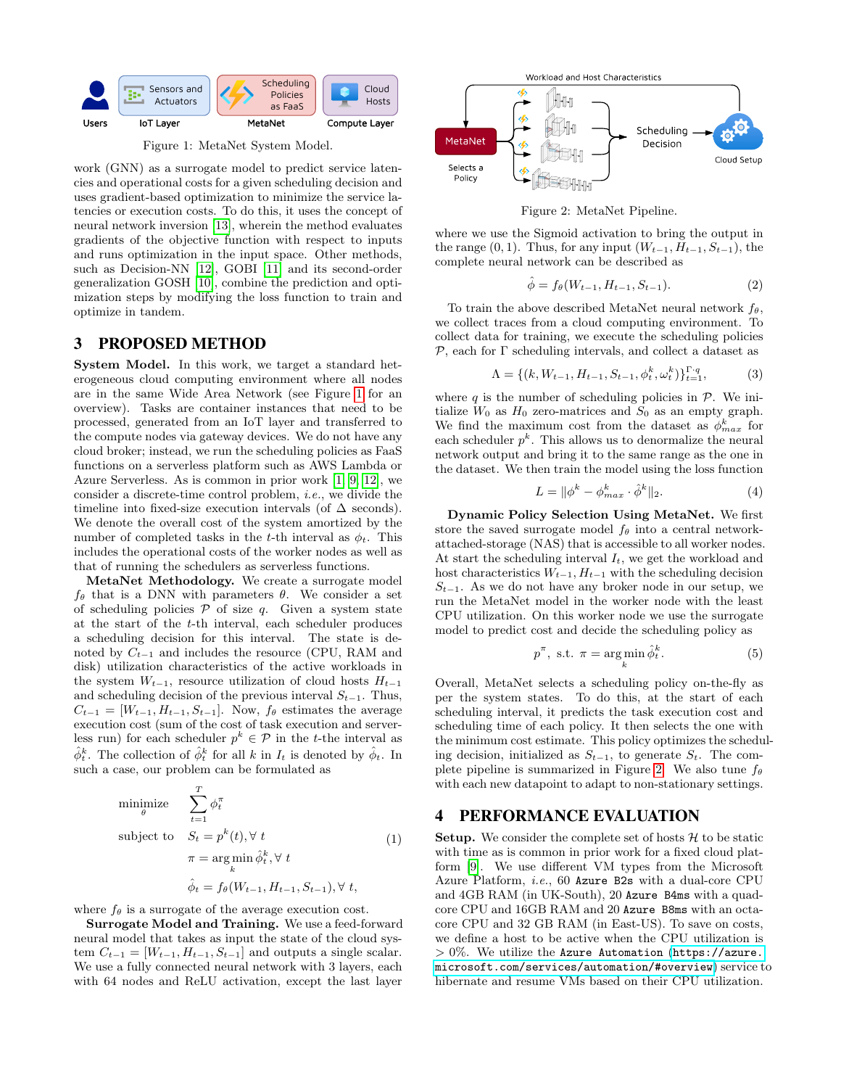<span id="page-1-0"></span>

Figure 1: MetaNet System Model.

work (GNN) as a surrogate model to predict service latencies and operational costs for a given scheduling decision and uses gradient-based optimization to minimize the service latencies or execution costs. To do this, it uses the concept of neural network inversion [\[13\]](#page-2-9), wherein the method evaluates gradients of the objective function with respect to inputs and runs optimization in the input space. Other methods, such as Decision-NN [\[12\]](#page-2-5), GOBI [\[11\]](#page-2-4) and its second-order generalization GOSH [\[10\]](#page-2-3), combine the prediction and optimization steps by modifying the loss function to train and optimize in tandem.

#### 3 PROPOSED METHOD

System Model. In this work, we target a standard heterogeneous cloud computing environment where all nodes are in the same Wide Area Network (see Figure [1](#page-1-0) for an overview). Tasks are container instances that need to be processed, generated from an IoT layer and transferred to the compute nodes via gateway devices. We do not have any cloud broker; instead, we run the scheduling policies as FaaS functions on a serverless platform such as AWS Lambda or Azure Serverless. As is common in prior work [\[1,](#page-2-8) [9,](#page-2-2) [12\]](#page-2-5), we consider a discrete-time control problem, i.e., we divide the timeline into fixed-size execution intervals (of  $\Delta$  seconds). We denote the overall cost of the system amortized by the number of completed tasks in the t-th interval as  $\phi_t$ . This includes the operational costs of the worker nodes as well as that of running the schedulers as serverless functions.

MetaNet Methodology. We create a surrogate model  $f_{\theta}$  that is a DNN with parameters  $\theta$ . We consider a set of scheduling policies  $P$  of size  $q$ . Given a system state at the start of the t-th interval, each scheduler produces a scheduling decision for this interval. The state is denoted by  $C_{t-1}$  and includes the resource (CPU, RAM and disk) utilization characteristics of the active workloads in the system  $W_{t-1}$ , resource utilization of cloud hosts  $H_{t-1}$ and scheduling decision of the previous interval  $S_{t-1}$ . Thus,  $C_{t-1} = [W_{t-1}, H_{t-1}, S_{t-1}]$ . Now,  $f_{\theta}$  estimates the average execution cost (sum of the cost of task execution and serverless run) for each scheduler  $p^k \in \mathcal{P}$  in the t-the interval as  $\hat{\phi}_t^k$ . The collection of  $\hat{\phi}_t^k$  for all k in  $I_t$  is denoted by  $\hat{\phi}_t$ . In such a case, our problem can be formulated as

$$
\begin{aligned}\n\text{minimize} & \sum_{t=1}^{T} \phi_t^{\pi} \\
\text{subject to} & S_t = p^k(t), \forall t \\
& \pi = \arg\min_{k} \hat{\phi}_t^k, \forall t \\
& \hat{\phi}_t = f_\theta(W_{t-1}, H_{t-1}, S_{t-1}), \forall t,\n\end{aligned} \tag{1}
$$

where  $f_{\theta}$  is a surrogate of the average execution cost.

Surrogate Model and Training. We use a feed-forward neural model that takes as input the state of the cloud system  $C_{t-1} = [W_{t-1}, H_{t-1}, S_{t-1}]$  and outputs a single scalar. We use a fully connected neural network with 3 layers, each with 64 nodes and ReLU activation, except the last layer

<span id="page-1-1"></span>

Figure 2: MetaNet Pipeline.

where we use the Sigmoid activation to bring the output in the range  $(0, 1)$ . Thus, for any input  $(W_{t-1}, H_{t-1}, S_{t-1})$ , the complete neural network can be described as

$$
\hat{\phi} = f_{\theta}(W_{t-1}, H_{t-1}, S_{t-1}). \tag{2}
$$

To train the above described MetaNet neural network  $f_{\theta}$ , we collect traces from a cloud computing environment. To collect data for training, we execute the scheduling policies  $P$ , each for  $\Gamma$  scheduling intervals, and collect a dataset as

$$
\Lambda = \{ (k, W_{t-1}, H_{t-1}, S_{t-1}, \phi_t^k, \omega_t^k) \}_{t=1}^{\Gamma \cdot q},
$$
 (3)

where q is the number of scheduling policies in  $P$ . We initialize  $W_0$  as  $H_0$  zero-matrices and  $S_0$  as an empty graph. We find the maximum cost from the dataset as  $\phi_{max}^k$  for each scheduler  $p^k$ . This allows us to denormalize the neural network output and bring it to the same range as the one in the dataset. We then train the model using the loss function

$$
L = \|\phi^k - \phi_{max}^k \cdot \hat{\phi}^k\|_2. \tag{4}
$$

Dynamic Policy Selection Using MetaNet. We first store the saved surrogate model  $f_{\theta}$  into a central networkattached-storage (NAS) that is accessible to all worker nodes. At start the scheduling interval  $I_t$ , we get the workload and host characteristics  $W_{t-1}, H_{t-1}$  with the scheduling decision  $S_{t-1}$ . As we do not have any broker node in our setup, we run the MetaNet model in the worker node with the least CPU utilization. On this worker node we use the surrogate model to predict cost and decide the scheduling policy as

$$
p^{\pi}, \text{ s.t. } \pi = \underset{k}{\text{arg min}} \hat{\phi}_t^k. \tag{5}
$$

Overall, MetaNet selects a scheduling policy on-the-fly as per the system states. To do this, at the start of each scheduling interval, it predicts the task execution cost and scheduling time of each policy. It then selects the one with the minimum cost estimate. This policy optimizes the scheduling decision, initialized as  $S_{t-1}$ , to generate  $S_t$ . The com-plete pipeline is summarized in Figure [2.](#page-1-1) We also tune  $f_{\theta}$ with each new datapoint to adapt to non-stationary settings.

# 4 PERFORMANCE EVALUATION

**Setup.** We consider the complete set of hosts  $H$  to be static with time as is common in prior work for a fixed cloud platform [\[9\]](#page-2-2). We use different VM types from the Microsoft Azure Platform, i.e., 60 Azure B2s with a dual-core CPU and 4GB RAM (in UK-South), 20 Azure B4ms with a quadcore CPU and 16GB RAM and 20 Azure B8ms with an octacore CPU and 32 GB RAM (in East-US). To save on costs, we define a host to be active when the CPU utilization is  $> 0\%$ . We utilize the Azure Automation ([https://azure.](https://azure.microsoft.com/services/automation/#overview) [microsoft.com/services/automation/#overview](https://azure.microsoft.com/services/automation/#overview)) service to hibernate and resume VMs based on their CPU utilization.